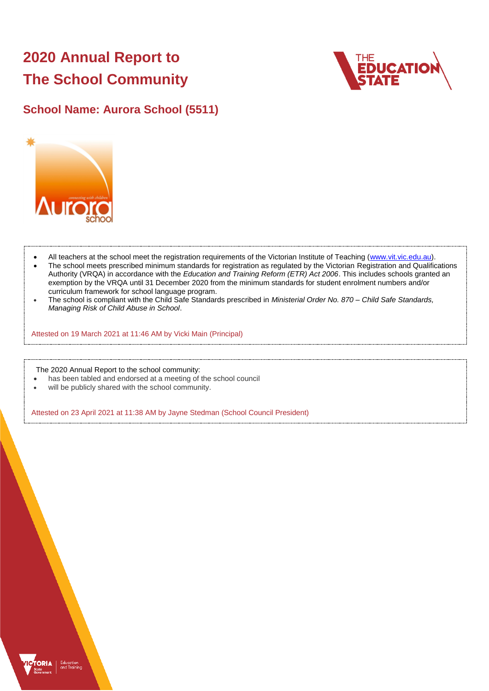# **2020 Annual Report to The School Community**



## **School Name: Aurora School (5511)**



- All teachers at the school meet the registration requirements of the Victorian Institute of Teaching [\(www.vit.vic.edu.au\)](https://www.vit.vic.edu.au/).
- The school meets prescribed minimum standards for registration as regulated by the Victorian Registration and Qualifications Authority (VRQA) in accordance with the *Education and Training Reform (ETR) Act 2006*. This includes schools granted an exemption by the VRQA until 31 December 2020 from the minimum standards for student enrolment numbers and/or curriculum framework for school language program.
- The school is compliant with the Child Safe Standards prescribed in *Ministerial Order No. 870 – Child Safe Standards, Managing Risk of Child Abuse in School*.

Attested on 19 March 2021 at 11:46 AM by Vicki Main (Principal)

The 2020 Annual Report to the school community:

- has been tabled and endorsed at a meeting of the school council
- will be publicly shared with the school community.

Attested on 23 April 2021 at 11:38 AM by Jayne Stedman (School Council President)

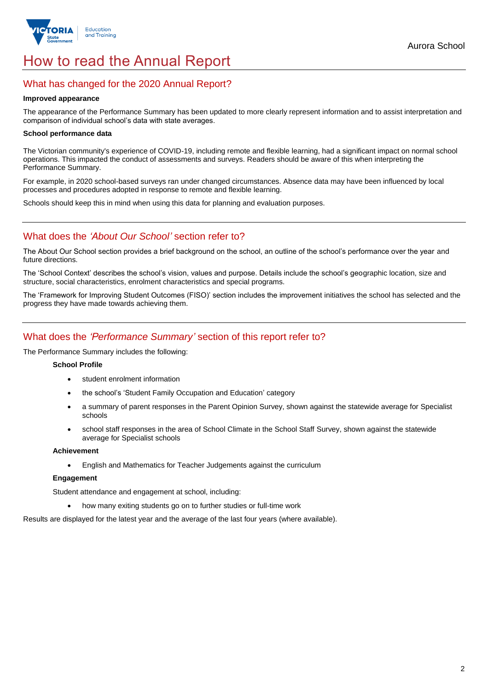

## How to read the Annual Report

#### What has changed for the 2020 Annual Report?

#### **Improved appearance**

The appearance of the Performance Summary has been updated to more clearly represent information and to assist interpretation and comparison of individual school's data with state averages.

#### **School performance data**

The Victorian community's experience of COVID-19, including remote and flexible learning, had a significant impact on normal school operations. This impacted the conduct of assessments and surveys. Readers should be aware of this when interpreting the Performance Summary.

For example, in 2020 school-based surveys ran under changed circumstances. Absence data may have been influenced by local processes and procedures adopted in response to remote and flexible learning.

Schools should keep this in mind when using this data for planning and evaluation purposes.

#### What does the *'About Our School'* section refer to?

The About Our School section provides a brief background on the school, an outline of the school's performance over the year and future directions.

The 'School Context' describes the school's vision, values and purpose. Details include the school's geographic location, size and structure, social characteristics, enrolment characteristics and special programs.

The 'Framework for Improving Student Outcomes (FISO)' section includes the improvement initiatives the school has selected and the progress they have made towards achieving them.

#### What does the *'Performance Summary'* section of this report refer to?

The Performance Summary includes the following:

#### **School Profile**

- student enrolment information
- the school's 'Student Family Occupation and Education' category
- a summary of parent responses in the Parent Opinion Survey, shown against the statewide average for Specialist schools
- school staff responses in the area of School Climate in the School Staff Survey, shown against the statewide average for Specialist schools

#### **Achievement**

English and Mathematics for Teacher Judgements against the curriculum

#### **Engagement**

Student attendance and engagement at school, including:

how many exiting students go on to further studies or full-time work

Results are displayed for the latest year and the average of the last four years (where available).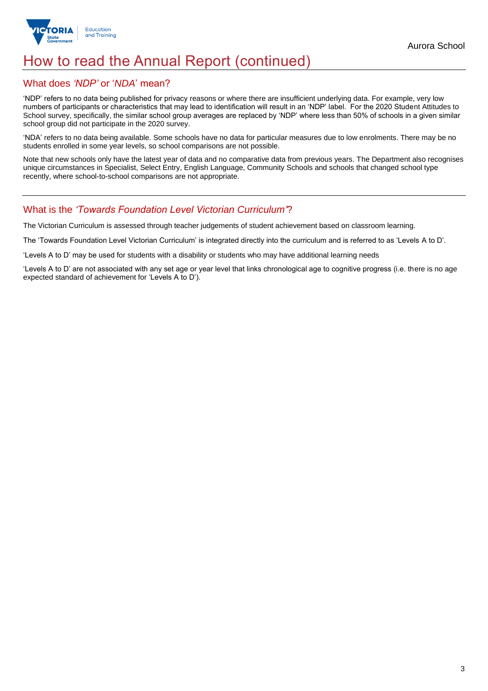

## How to read the Annual Report (continued)

#### What does *'NDP'* or '*NDA*' mean?

'NDP' refers to no data being published for privacy reasons or where there are insufficient underlying data. For example, very low numbers of participants or characteristics that may lead to identification will result in an 'NDP' label. For the 2020 Student Attitudes to School survey, specifically, the similar school group averages are replaced by 'NDP' where less than 50% of schools in a given similar school group did not participate in the 2020 survey.

'NDA' refers to no data being available. Some schools have no data for particular measures due to low enrolments. There may be no students enrolled in some year levels, so school comparisons are not possible.

Note that new schools only have the latest year of data and no comparative data from previous years. The Department also recognises unique circumstances in Specialist, Select Entry, English Language, Community Schools and schools that changed school type recently, where school-to-school comparisons are not appropriate.

#### What is the *'Towards Foundation Level Victorian Curriculum'*?

The Victorian Curriculum is assessed through teacher judgements of student achievement based on classroom learning.

The 'Towards Foundation Level Victorian Curriculum' is integrated directly into the curriculum and is referred to as 'Levels A to D'.

'Levels A to D' may be used for students with a disability or students who may have additional learning needs

'Levels A to D' are not associated with any set age or year level that links chronological age to cognitive progress (i.e. there is no age expected standard of achievement for 'Levels A to D').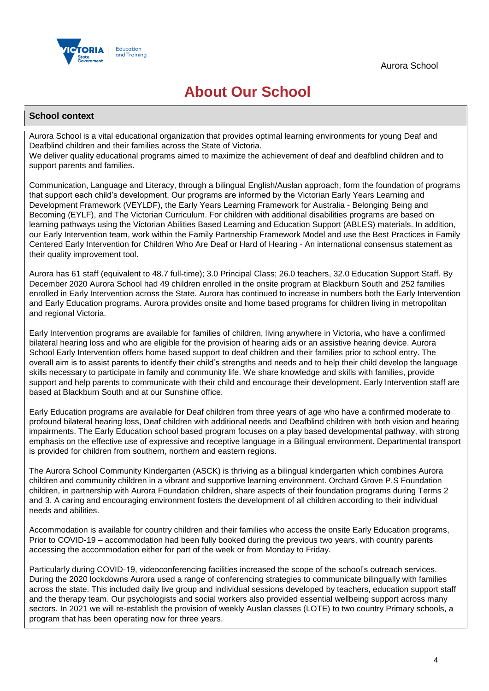

## **About Our School**

#### **School context**

Aurora School is a vital educational organization that provides optimal learning environments for young Deaf and Deafblind children and their families across the State of Victoria.

We deliver quality educational programs aimed to maximize the achievement of deaf and deafblind children and to support parents and families.

Communication, Language and Literacy, through a bilingual English/Auslan approach, form the foundation of programs that support each child's development. Our programs are informed by the Victorian Early Years Learning and Development Framework (VEYLDF), the Early Years Learning Framework for Australia - Belonging Being and Becoming (EYLF), and The Victorian Curriculum. For children with additional disabilities programs are based on learning pathways using the Victorian Abilities Based Learning and Education Support (ABLES) materials. In addition, our Early Intervention team, work within the Family Partnership Framework Model and use the Best Practices in Family Centered Early Intervention for Children Who Are Deaf or Hard of Hearing - An international consensus statement as their quality improvement tool.

Aurora has 61 staff (equivalent to 48.7 full-time); 3.0 Principal Class; 26.0 teachers, 32.0 Education Support Staff. By December 2020 Aurora School had 49 children enrolled in the onsite program at Blackburn South and 252 families enrolled in Early Intervention across the State. Aurora has continued to increase in numbers both the Early Intervention and Early Education programs. Aurora provides onsite and home based programs for children living in metropolitan and regional Victoria.

Early Intervention programs are available for families of children, living anywhere in Victoria, who have a confirmed bilateral hearing loss and who are eligible for the provision of hearing aids or an assistive hearing device. Aurora School Early Intervention offers home based support to deaf children and their families prior to school entry. The overall aim is to assist parents to identify their child's strengths and needs and to help their child develop the language skills necessary to participate in family and community life. We share knowledge and skills with families, provide support and help parents to communicate with their child and encourage their development. Early Intervention staff are based at Blackburn South and at our Sunshine office.

Early Education programs are available for Deaf children from three years of age who have a confirmed moderate to profound bilateral hearing loss, Deaf children with additional needs and Deafblind children with both vision and hearing impairments. The Early Education school based program focuses on a play based developmental pathway, with strong emphasis on the effective use of expressive and receptive language in a Bilingual environment. Departmental transport is provided for children from southern, northern and eastern regions.

The Aurora School Community Kindergarten (ASCK) is thriving as a bilingual kindergarten which combines Aurora children and community children in a vibrant and supportive learning environment. Orchard Grove P.S Foundation children, in partnership with Aurora Foundation children, share aspects of their foundation programs during Terms 2 and 3. A caring and encouraging environment fosters the development of all children according to their individual needs and abilities.

Accommodation is available for country children and their families who access the onsite Early Education programs, Prior to COVID-19 – accommodation had been fully booked during the previous two years, with country parents accessing the accommodation either for part of the week or from Monday to Friday.

Particularly during COVID-19, videoconferencing facilities increased the scope of the school's outreach services. During the 2020 lockdowns Aurora used a range of conferencing strategies to communicate bilingually with families across the state. This included daily live group and individual sessions developed by teachers, education support staff and the therapy team. Our psychologists and social workers also provided essential wellbeing support across many sectors. In 2021 we will re-establish the provision of weekly Auslan classes (LOTE) to two country Primary schools, a program that has been operating now for three years.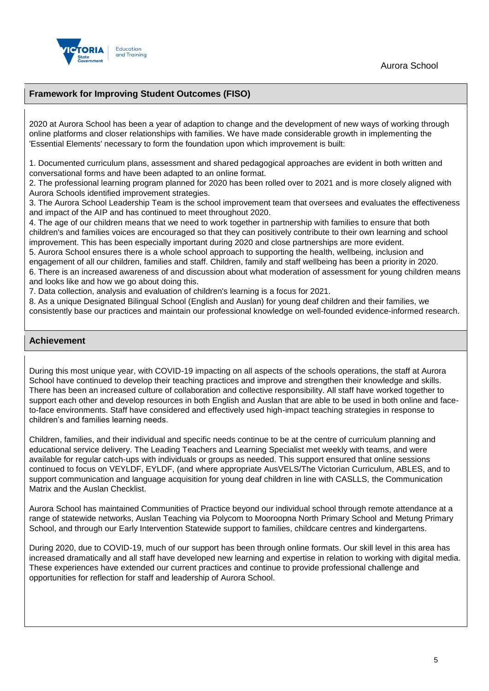

#### **Framework for Improving Student Outcomes (FISO)**

2020 at Aurora School has been a year of adaption to change and the development of new ways of working through online platforms and closer relationships with families. We have made considerable growth in implementing the 'Essential Elements' necessary to form the foundation upon which improvement is built:

1. Documented curriculum plans, assessment and shared pedagogical approaches are evident in both written and conversational forms and have been adapted to an online format.

2. The professional learning program planned for 2020 has been rolled over to 2021 and is more closely aligned with Aurora Schools identified improvement strategies.

3. The Aurora School Leadership Team is the school improvement team that oversees and evaluates the effectiveness and impact of the AIP and has continued to meet throughout 2020.

4. The age of our children means that we need to work together in partnership with families to ensure that both children's and families voices are encouraged so that they can positively contribute to their own learning and school improvement. This has been especially important during 2020 and close partnerships are more evident.

5. Aurora School ensures there is a whole school approach to supporting the health, wellbeing, inclusion and engagement of all our children, families and staff. Children, family and staff wellbeing has been a priority in 2020. 6. There is an increased awareness of and discussion about what moderation of assessment for young children means and looks like and how we go about doing this.

7. Data collection, analysis and evaluation of children's learning is a focus for 2021.

8. As a unique Designated Bilingual School (English and Auslan) for young deaf children and their families, we consistently base our practices and maintain our professional knowledge on well-founded evidence-informed research.

#### **Achievement**

During this most unique year, with COVID-19 impacting on all aspects of the schools operations, the staff at Aurora School have continued to develop their teaching practices and improve and strengthen their knowledge and skills. There has been an increased culture of collaboration and collective responsibility. All staff have worked together to support each other and develop resources in both English and Auslan that are able to be used in both online and faceto-face environments. Staff have considered and effectively used high-impact teaching strategies in response to children's and families learning needs.

Children, families, and their individual and specific needs continue to be at the centre of curriculum planning and educational service delivery. The Leading Teachers and Learning Specialist met weekly with teams, and were available for regular catch-ups with individuals or groups as needed. This support ensured that online sessions continued to focus on VEYLDF, EYLDF, (and where appropriate AusVELS/The Victorian Curriculum, ABLES, and to support communication and language acquisition for young deaf children in line with CASLLS, the Communication Matrix and the Auslan Checklist.

Aurora School has maintained Communities of Practice beyond our individual school through remote attendance at a range of statewide networks, Auslan Teaching via Polycom to Mooroopna North Primary School and Metung Primary School, and through our Early Intervention Statewide support to families, childcare centres and kindergartens.

During 2020, due to COVID-19, much of our support has been through online formats. Our skill level in this area has increased dramatically and all staff have developed new learning and expertise in relation to working with digital media. These experiences have extended our current practices and continue to provide professional challenge and opportunities for reflection for staff and leadership of Aurora School.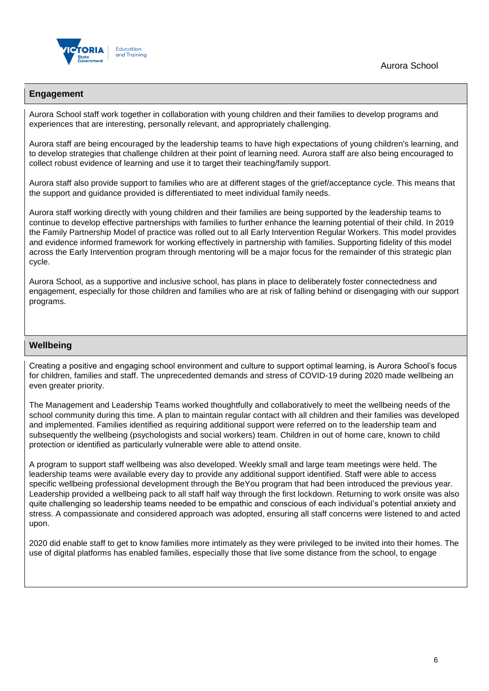

Aurora School

#### **Engagement**

Aurora School staff work together in collaboration with young children and their families to develop programs and experiences that are interesting, personally relevant, and appropriately challenging.

Aurora staff are being encouraged by the leadership teams to have high expectations of young children's learning, and to develop strategies that challenge children at their point of learning need. Aurora staff are also being encouraged to collect robust evidence of learning and use it to target their teaching/family support.

Aurora staff also provide support to families who are at different stages of the grief/acceptance cycle. This means that the support and guidance provided is differentiated to meet individual family needs.

Aurora staff working directly with young children and their families are being supported by the leadership teams to continue to develop effective partnerships with families to further enhance the learning potential of their child. In 2019 the Family Partnership Model of practice was rolled out to all Early Intervention Regular Workers. This model provides and evidence informed framework for working effectively in partnership with families. Supporting fidelity of this model across the Early Intervention program through mentoring will be a major focus for the remainder of this strategic plan cycle.

Aurora School, as a supportive and inclusive school, has plans in place to deliberately foster connectedness and engagement, especially for those children and families who are at risk of falling behind or disengaging with our support programs.

#### **Wellbeing**

Creating a positive and engaging school environment and culture to support optimal learning, is Aurora School's focus for children, families and staff. The unprecedented demands and stress of COVID-19 during 2020 made wellbeing an even greater priority.

The Management and Leadership Teams worked thoughtfully and collaboratively to meet the wellbeing needs of the school community during this time. A plan to maintain regular contact with all children and their families was developed and implemented. Families identified as requiring additional support were referred on to the leadership team and subsequently the wellbeing (psychologists and social workers) team. Children in out of home care, known to child protection or identified as particularly vulnerable were able to attend onsite.

A program to support staff wellbeing was also developed. Weekly small and large team meetings were held. The leadership teams were available every day to provide any additional support identified. Staff were able to access specific wellbeing professional development through the BeYou program that had been introduced the previous year. Leadership provided a wellbeing pack to all staff half way through the first lockdown. Returning to work onsite was also quite challenging so leadership teams needed to be empathic and conscious of each individual's potential anxiety and stress. A compassionate and considered approach was adopted, ensuring all staff concerns were listened to and acted upon.

2020 did enable staff to get to know families more intimately as they were privileged to be invited into their homes. The use of digital platforms has enabled families, especially those that live some distance from the school, to engage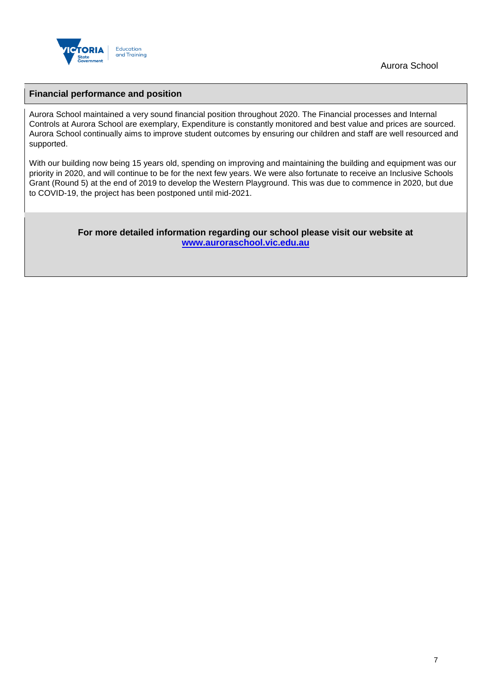

Aurora School

#### **Financial performance and position**

Aurora School maintained a very sound financial position throughout 2020. The Financial processes and Internal Controls at Aurora School are exemplary, Expenditure is constantly monitored and best value and prices are sourced. Aurora School continually aims to improve student outcomes by ensuring our children and staff are well resourced and supported.

With our building now being 15 years old, spending on improving and maintaining the building and equipment was our priority in 2020, and will continue to be for the next few years. We were also fortunate to receive an Inclusive Schools Grant (Round 5) at the end of 2019 to develop the Western Playground. This was due to commence in 2020, but due to COVID-19, the project has been postponed until mid-2021.

> **For more detailed information regarding our school please visit our website at [www.auroraschool.vic.edu.au](file:///C:/Users/08683665/Downloads/www.auroraschool.vic.edu.au)**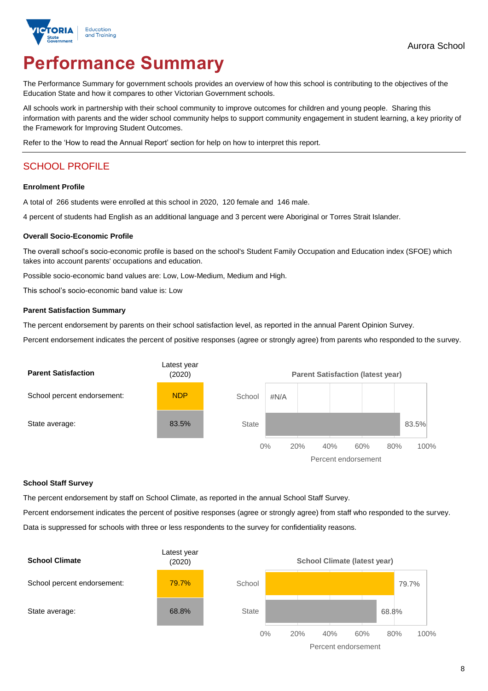

# **Performance Summary**

The Performance Summary for government schools provides an overview of how this school is contributing to the objectives of the Education State and how it compares to other Victorian Government schools.

All schools work in partnership with their school community to improve outcomes for children and young people. Sharing this information with parents and the wider school community helps to support community engagement in student learning, a key priority of the Framework for Improving Student Outcomes.

Refer to the 'How to read the Annual Report' section for help on how to interpret this report.

### SCHOOL PROFILE

#### **Enrolment Profile**

A total of 266 students were enrolled at this school in 2020, 120 female and 146 male.

4 percent of students had English as an additional language and 3 percent were Aboriginal or Torres Strait Islander.

#### **Overall Socio-Economic Profile**

The overall school's socio-economic profile is based on the school's Student Family Occupation and Education index (SFOE) which takes into account parents' occupations and education.

Possible socio-economic band values are: Low, Low-Medium, Medium and High.

This school's socio-economic band value is: Low

#### **Parent Satisfaction Summary**

The percent endorsement by parents on their school satisfaction level, as reported in the annual Parent Opinion Survey.

Percent endorsement indicates the percent of positive responses (agree or strongly agree) from parents who responded to the survey.



#### **School Staff Survey**

The percent endorsement by staff on School Climate, as reported in the annual School Staff Survey.

Percent endorsement indicates the percent of positive responses (agree or strongly agree) from staff who responded to the survey. Data is suppressed for schools with three or less respondents to the survey for confidentiality reasons.

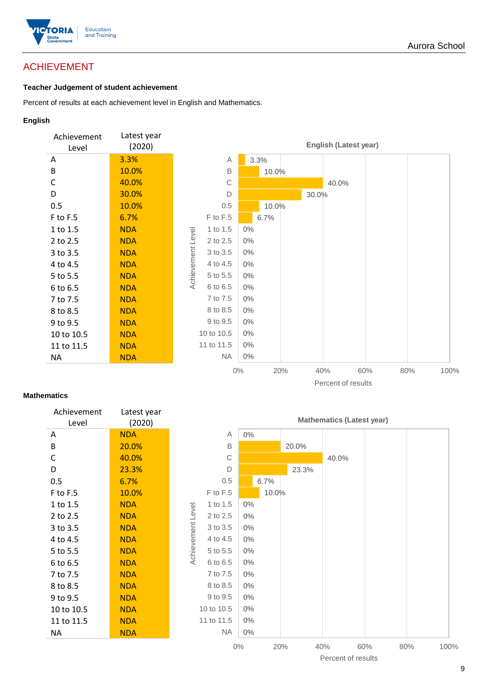

### ACHIEVEMENT

#### **Teacher Judgement of student achievement**

Percent of results at each achievement level in English and Mathematics.

#### **English**



#### **Mathematics**

| Achievement<br>Level | Latest year<br>(2020) |                   |              |       |       |       |                    | <b>Mathematics (Latest year)</b> |     |      |
|----------------------|-----------------------|-------------------|--------------|-------|-------|-------|--------------------|----------------------------------|-----|------|
| Α                    | <b>NDA</b>            |                   | Α            | $0\%$ |       |       |                    |                                  |     |      |
| B                    | 20.0%                 |                   | $\mathsf B$  |       |       | 20.0% |                    |                                  |     |      |
| C                    | 40.0%                 |                   | $\mathsf{C}$ |       |       |       | 40.0%              |                                  |     |      |
| D                    | 23.3%                 |                   | D            |       |       | 23.3% |                    |                                  |     |      |
| 0.5                  | 6.7%                  |                   | 0.5          |       | 6.7%  |       |                    |                                  |     |      |
| F to F.5             | 10.0%                 |                   | F to F.5     |       | 10.0% |       |                    |                                  |     |      |
| 1 to 1.5             | <b>NDA</b>            |                   | 1 to 1.5     | $0\%$ |       |       |                    |                                  |     |      |
| 2 to 2.5             | <b>NDA</b>            |                   | 2 to 2.5     | 0%    |       |       |                    |                                  |     |      |
| 3 to 3.5             | <b>NDA</b>            | Achievement Level | 3 to 3.5     | $0\%$ |       |       |                    |                                  |     |      |
| 4 to 4.5             | <b>NDA</b>            |                   | 4 to 4.5     | $0\%$ |       |       |                    |                                  |     |      |
| 5 to 5.5             | <b>NDA</b>            |                   | 5 to 5.5     | $0\%$ |       |       |                    |                                  |     |      |
| 6 to 6.5             | <b>NDA</b>            |                   | 6 to 6.5     | $0\%$ |       |       |                    |                                  |     |      |
| 7 to 7.5             | <b>NDA</b>            |                   | 7 to 7.5     | $0\%$ |       |       |                    |                                  |     |      |
| 8 to 8.5             | <b>NDA</b>            |                   | 8 to 8.5     | $0\%$ |       |       |                    |                                  |     |      |
| 9 to 9.5             | <b>NDA</b>            |                   | 9 to 9.5     | 0%    |       |       |                    |                                  |     |      |
| 10 to 10.5           | <b>NDA</b>            |                   | 10 to 10.5   | $0\%$ |       |       |                    |                                  |     |      |
| 11 to 11.5           | <b>NDA</b>            |                   | 11 to 11.5   | $0\%$ |       |       |                    |                                  |     |      |
| <b>NA</b>            | <b>NDA</b>            |                   | <b>NA</b>    | $0\%$ |       |       |                    |                                  |     |      |
|                      |                       |                   |              | $0\%$ |       | 20%   | 40%                | 60%                              | 80% | 100% |
|                      |                       |                   |              |       |       |       | Percent of results |                                  |     |      |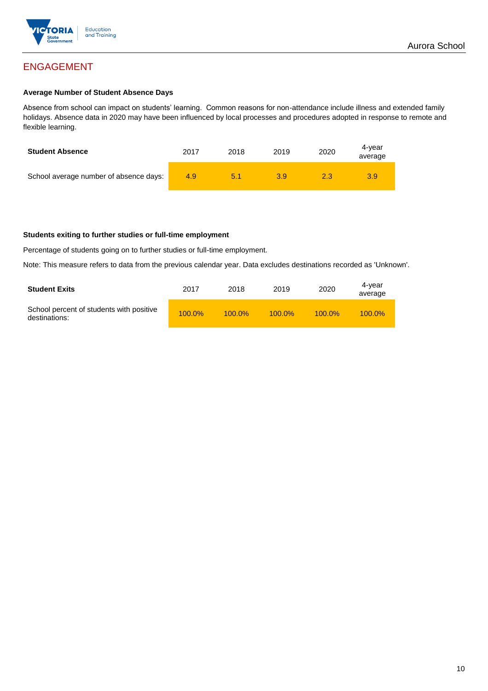

## ENGAGEMENT

#### **Average Number of Student Absence Days**

Absence from school can impact on students' learning. Common reasons for non-attendance include illness and extended family holidays. Absence data in 2020 may have been influenced by local processes and procedures adopted in response to remote and flexible learning.

| <b>Student Absence</b>                 | 2017 | 2018 | 2019 | 2020 | 4-vear<br>average |
|----------------------------------------|------|------|------|------|-------------------|
| School average number of absence days: | 4.9  | 5.1  | 3.9  |      | 3.9               |

#### **Students exiting to further studies or full-time employment**

Percentage of students going on to further studies or full-time employment.

Note: This measure refers to data from the previous calendar year. Data excludes destinations recorded as 'Unknown'.

| <b>Student Exits</b>                                      | 2017      | 2018      | 2019      | 2020      | 4-vear<br>average |
|-----------------------------------------------------------|-----------|-----------|-----------|-----------|-------------------|
| School percent of students with positive<br>destinations: | $100.0\%$ | $100.0\%$ | $100.0\%$ | $100.0\%$ | $100.0\%$         |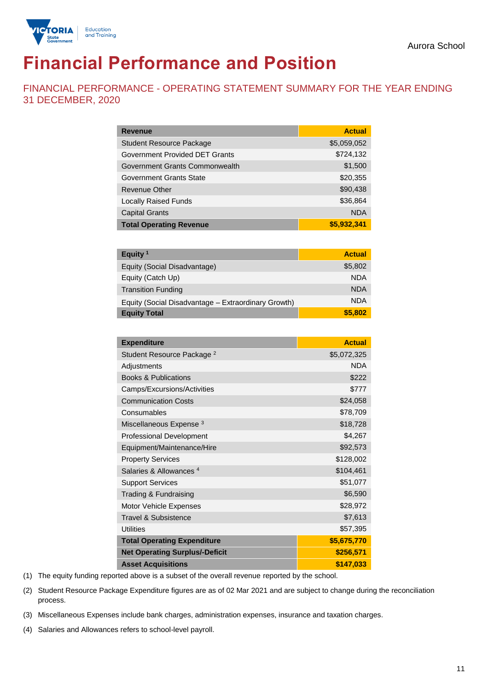

# **Financial Performance and Position**

FINANCIAL PERFORMANCE - OPERATING STATEMENT SUMMARY FOR THE YEAR ENDING 31 DECEMBER, 2020

| <b>Revenue</b>                  | <b>Actual</b> |
|---------------------------------|---------------|
| <b>Student Resource Package</b> | \$5,059,052   |
| Government Provided DET Grants  | \$724,132     |
| Government Grants Commonwealth  | \$1,500       |
| Government Grants State         | \$20,355      |
| <b>Revenue Other</b>            | \$90,438      |
| <b>Locally Raised Funds</b>     | \$36,864      |
| <b>Capital Grants</b>           | <b>NDA</b>    |
| <b>Total Operating Revenue</b>  | \$5,932,341   |

| Equity <sup>1</sup>                                 | <b>Actual</b> |
|-----------------------------------------------------|---------------|
| Equity (Social Disadvantage)                        | \$5,802       |
| Equity (Catch Up)                                   | <b>NDA</b>    |
| <b>Transition Funding</b>                           | <b>NDA</b>    |
| Equity (Social Disadvantage - Extraordinary Growth) | <b>NDA</b>    |
| <b>Equity Total</b>                                 | \$5,802       |

| <b>Expenditure</b>                    | <b>Actual</b> |
|---------------------------------------|---------------|
| Student Resource Package <sup>2</sup> | \$5,072,325   |
| Adjustments                           | <b>NDA</b>    |
| <b>Books &amp; Publications</b>       | \$222         |
| Camps/Excursions/Activities           | \$777         |
| <b>Communication Costs</b>            | \$24,058      |
| Consumables                           | \$78,709      |
| Miscellaneous Expense <sup>3</sup>    | \$18,728      |
| <b>Professional Development</b>       | \$4,267       |
| Equipment/Maintenance/Hire            | \$92,573      |
| <b>Property Services</b>              | \$128,002     |
| Salaries & Allowances <sup>4</sup>    | \$104,461     |
| <b>Support Services</b>               | \$51,077      |
| Trading & Fundraising                 | \$6,590       |
| Motor Vehicle Expenses                | \$28,972      |
| Travel & Subsistence                  | \$7,613       |
| <b>Utilities</b>                      | \$57,395      |
| <b>Total Operating Expenditure</b>    | \$5,675,770   |
| <b>Net Operating Surplus/-Deficit</b> | \$256,571     |
| <b>Asset Acquisitions</b>             | \$147,033     |

(1) The equity funding reported above is a subset of the overall revenue reported by the school.

(2) Student Resource Package Expenditure figures are as of 02 Mar 2021 and are subject to change during the reconciliation process.

(3) Miscellaneous Expenses include bank charges, administration expenses, insurance and taxation charges.

(4) Salaries and Allowances refers to school-level payroll.